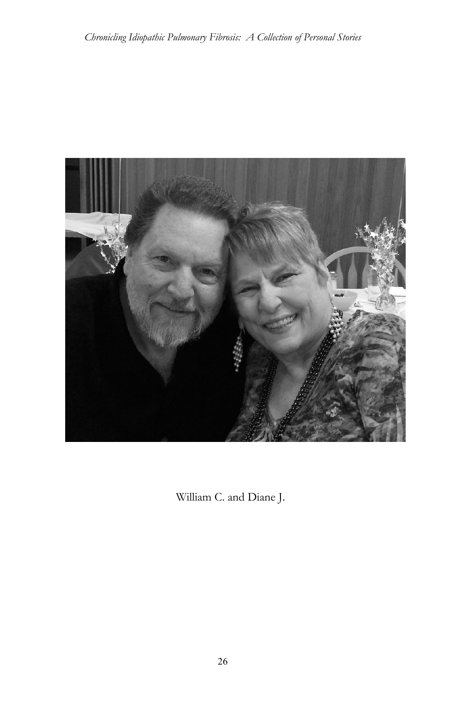

William C. and Diane J.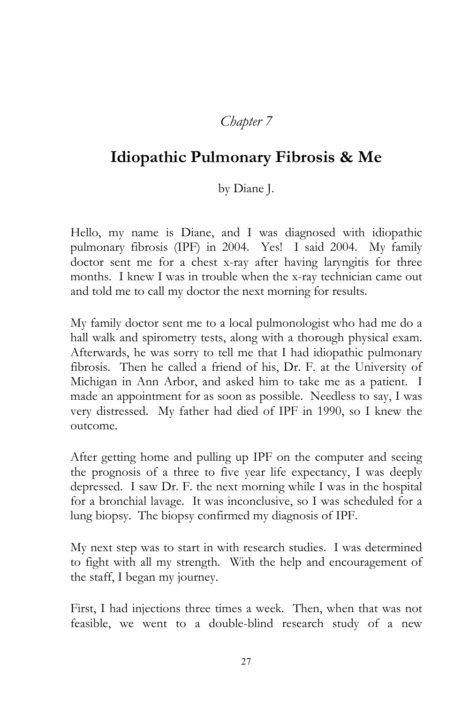## *Chapter 7*

## **Idiopathic Pulmonary Fibrosis & Me**

by Diane J.

Hello, my name is Diane, and I was diagnosed with idiopathic pulmonary fibrosis (IPF) in 2004. Yes! I said 2004. My family doctor sent me for a chest x-ray after having laryngitis for three months. I knew I was in trouble when the x-ray technician came out and told me to call my doctor the next morning for results.

My family doctor sent me to a local pulmonologist who had me do a hall walk and spirometry tests, along with a thorough physical exam. Afterwards, he was sorry to tell me that I had idiopathic pulmonary fibrosis. Then he called a friend of his, Dr. F. at the University of Michigan in Ann Arbor, and asked him to take me as a patient. I made an appointment for as soon as possible. Needless to say, I was very distressed. My father had died of IPF in 1990, so I knew the outcome.

After getting home and pulling up IPF on the computer and seeing the prognosis of a three to five year life expectancy, I was deeply depressed. I saw Dr. F. the next morning while I was in the hospital for a bronchial lavage. It was inconclusive, so I was scheduled for a lung biopsy. The biopsy confirmed my diagnosis of IPF.

My next step was to start in with research studies. I was determined to fight with all my strength. With the help and encouragement of the staff, I began my journey.

First, I had injections three times a week. Then, when that was not feasible, we went to a double-blind research study of a new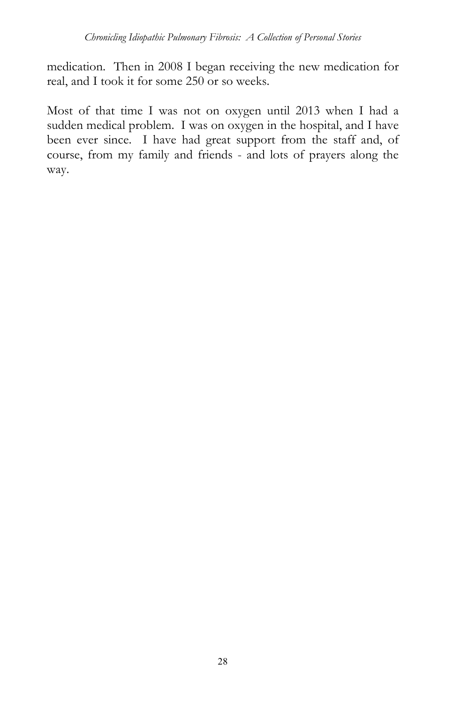medication. Then in 2008 I began receiving the new medication for real, and I took it for some 250 or so weeks.

Most of that time I was not on oxygen until 2013 when I had a sudden medical problem. I was on oxygen in the hospital, and I have been ever since. I have had great support from the staff and, of course, from my family and friends - and lots of prayers along the way.